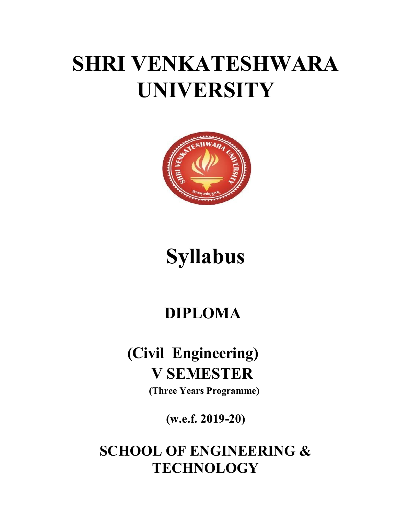# SHRI VENKATESHWARA UNIVERSITY



## Syllabus

## DIPLOMA

## (Civil Engineering) V SEMESTER

(Three Years Programme)

(w.e.f. 2019-20)

SCHOOL OF ENGINEERING & **TECHNOLOGY**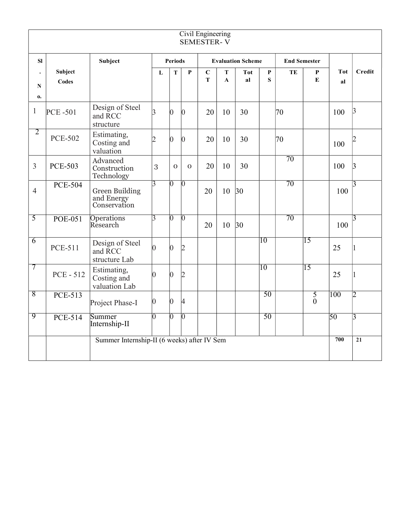|                    |                         |                                                     |                |                |                | Civil Engineering<br><b>SEMESTER-V</b> |                   |                  |                  |                     |                        |                  |                 |
|--------------------|-------------------------|-----------------------------------------------------|----------------|----------------|----------------|----------------------------------------|-------------------|------------------|------------------|---------------------|------------------------|------------------|-----------------|
| SI                 |                         | <b>Subject</b>                                      | <b>Periods</b> |                |                | <b>Evaluation Scheme</b>               |                   |                  |                  | <b>End Semester</b> |                        |                  |                 |
| N                  | Subject<br><b>Codes</b> |                                                     | L              | T              | $\mathbf{P}$   | $\mathbf C$<br>$\mathbf T$             | T<br>$\mathbf{A}$ | <b>Tot</b><br>al | $\mathbf P$<br>S | TE                  | ${\bf P}$<br>${\bf E}$ | <b>Tot</b><br>al | <b>Credit</b>   |
| 0.<br>$\mathbf{1}$ | <b>PCE-501</b>          | Design of Steel<br>and RCC<br>structure             | 3              | $\overline{0}$ | O.             | 20                                     | 10                | 30               |                  | 70                  |                        | 100              | $\beta$         |
| $\overline{2}$     | <b>PCE-502</b>          | Estimating,<br>Costing and<br>valuation             | $\mathcal{D}$  | $\overline{0}$ | O.             | 20                                     | 10                | 30               |                  | 70                  |                        | 100              |                 |
| 3                  | <b>PCE-503</b>          | Advanced<br>Construction<br>Technology              | 3              | $\Omega$       | $\mathbf 0$    | 20                                     | 10                | 30               |                  | 70                  |                        | 100              | 13              |
| $\overline{4}$     | <b>PCE-504</b>          | <b>Green Building</b><br>and Energy<br>Conservation | 3              | $\overline{0}$ | $\overline{0}$ | 20                                     | 10                | 30               |                  | 70                  |                        | 100              | 13              |
| 5                  | <b>POE-051</b>          | Operations<br>Research                              | 3              | 0              | N              | 20                                     | 10                | 30               |                  | 70                  |                        | 100              | 13.             |
| $\overline{6}$     | <b>PCE-511</b>          | Design of Steel<br>and RCC<br>structure Lab         | $\Omega$       | $\overline{0}$ | D              |                                        |                   |                  | 10               |                     | $\overline{15}$        | 25               |                 |
| 7                  | <b>PCE - 512</b>        | Estimating,<br>Costing and<br>valuation Lab         | ∩              | $\Omega$       | D              |                                        |                   |                  | 10               |                     | $\overline{15}$        | 25               |                 |
| 8                  | <b>PCE-513</b>          | Project Phase-I                                     | 0              | $\theta$       | 4              |                                        |                   |                  | 50               |                     | $rac{5}{0}$            | 100              | 12              |
| 9                  | <b>PCE-514</b>          | Summer<br>Internship-II                             | ∩              | 0              | 0              |                                        |                   |                  | 50               |                     |                        | $\overline{50}$  | 3               |
|                    |                         | Summer Internship-II (6 weeks) after IV Sem         |                |                |                |                                        |                   |                  |                  |                     |                        | 700              | $\overline{21}$ |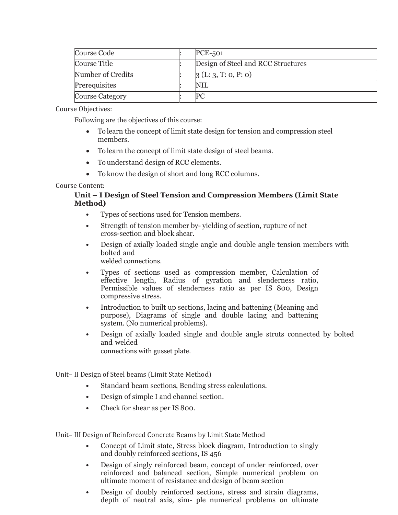| Course Code            |  | $PCE-501$                          |
|------------------------|--|------------------------------------|
| Course Title           |  | Design of Steel and RCC Structures |
| Number of Credits      |  | 3(L:3, T:0, P:0)                   |
| Prerequisites          |  | NIL                                |
| <b>Course Category</b> |  |                                    |

Following are the objectives of this course:

- To learn the concept of limit state design for tension and compression steel members.
- To learn the concept of limit state design of steel beams.
- To understand design of RCC elements.
- To know the design of short and long RCC columns.

#### Course Content:

#### Unit – I Design of Steel Tension and Compression Members (Limit State Method)

- Types of sections used for Tension members.
- Strength of tension member by- yielding of section, rupture of net cross-section and block shear.
- Design of axially loaded single angle and double angle tension members with bolted and welded connections.
- Types of sections used as compression member, Calculation of effective length, Radius of gyration and slenderness ratio, Permissible values of slenderness ratio as per IS 800, Design compressive stress.
- Introduction to built up sections, lacing and battening (Meaning and purpose), Diagrams of single and double lacing and battening system. (No numerical problems).
- Design of axially loaded single and double angle struts connected by bolted and welded connections with gusset plate.

Unit– II Design of Steel beams (Limit State Method)

- Standard beam sections, Bending stress calculations.
- Design of simple I and channel section.
- Check for shear as per IS 800.

Unit– III Design of Reinforced Concrete Beams by Limit State Method

- Concept of Limit state, Stress block diagram, Introduction to singly and doubly reinforced sections, IS 456
- Design of singly reinforced beam, concept of under reinforced, over reinforced and balanced section, Simple numerical problem on ultimate moment of resistance and design of beam section
- Design of doubly reinforced sections, stress and strain diagrams, depth of neutral axis, sim- ple numerical problems on ultimate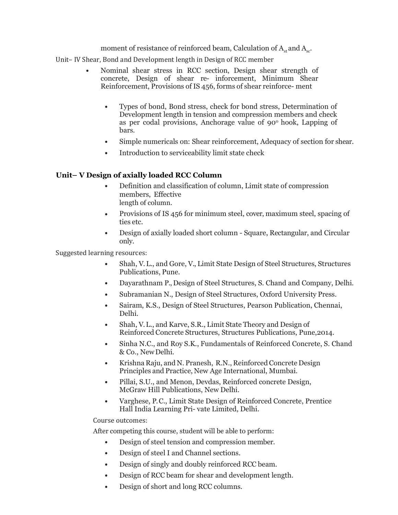moment of resistance of reinforced beam, Calculation of  $A_{st}$  and  $A_{sc}$ .

Unit– IV Shear, Bond and Development length in Design of RCC member

- Nominal shear stress in RCC section, Design shear strength of concrete, Design of shear re- inforcement, Minimum Shear Reinforcement, Provisions of IS 456, forms of shear reinforce- ment
	- Types of bond, Bond stress, check for bond stress, Determination of Development length in tension and compression members and check as per codal provisions, Anchorage value of 90<sup>°</sup> hook, Lapping of bars.
	- Simple numericals on: Shear reinforcement, Adequacy of section for shear.
	- Introduction to serviceability limit state check

#### Unit– V Design of axially loaded RCC Column

- Definition and classification of column, Limit state of compression members, Effective length of column.
- Provisions of IS 456 for minimum steel, cover, maximum steel, spacing of ties etc.
- Design of axially loaded short column Square, Rectangular, and Circular only.

Suggested learning resources:

- Shah, V. L., and Gore, V., Limit State Design of Steel Structures, Structures Publications, Pune.
- Dayarathnam P., Design of Steel Structures, S. Chand and Company, Delhi.
- Subramanian N., Design of Steel Structures, Oxford University Press.
- Sairam, K.S., Design of Steel Structures, Pearson Publication, Chennai, Delhi.
- Shah, V. L., and Karve, S.R., Limit State Theory and Design of Reinforced Concrete Structures, Structures Publications, Pune,2014.
- Sinha N.C., and Roy S.K., Fundamentals of Reinforced Concrete, S. Chand & Co., New Delhi.
- Krishna Raju, and N. Pranesh, R.N., Reinforced Concrete Design Principles and Practice, New Age International, Mumbai.
- Pillai, S.U., and Menon, Devdas, Reinforced concrete Design, McGraw Hill Publications, New Delhi.
- Varghese, P. C., Limit State Design of Reinforced Concrete, Prentice Hall India Learning Pri- vate Limited, Delhi.

Course outcomes:

After competing this course, student will be able to perform:

- Design of steel tension and compression member.
- Design of steel I and Channel sections.
- Design of singly and doubly reinforced RCC beam.
- Design of RCC beam for shear and development length.
- Design of short and long RCC columns.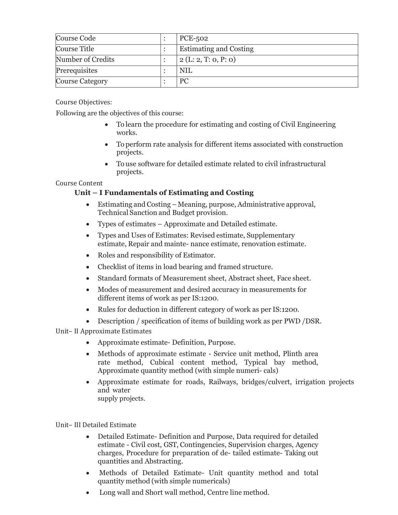| Course Code            |  | <b>PCE-502</b>                |
|------------------------|--|-------------------------------|
| Course Title           |  | <b>Estimating and Costing</b> |
| Number of Credits      |  | 2(L: 2, T: 0, P: 0)           |
| Prerequisites          |  | NIL                           |
| <b>Course Category</b> |  | PC                            |

Following are the objectives of this course:

- To learn the procedure for estimating and costing of Civil Engineering works.
- To perform rate analysis for different items associated with construction projects.
- To use software for detailed estimate related to civil infrastructural projects.

#### Course Content

#### Unit – I Fundamentals of Estimating and Costing

- Estimating and Costing Meaning, purpose, Administrative approval, Technical Sanction and Budget provision.
- Types of estimates Approximate and Detailed estimate.
- Types and Uses of Estimates: Revised estimate, Supplementary estimate, Repair and mainte- nance estimate, renovation estimate.
- Roles and responsibility of Estimator.
- Checklist of items in load bearing and framed structure.
- Standard formats of Measurement sheet, Abstract sheet, Face sheet.
- Modes of measurement and desired accuracy in measurements for different items of work as per IS:1200.
- Rules for deduction in different category of work as per IS:1200.
- Description / specification of items of building work as per PWD /DSR.

Unit– II Approximate Estimates

- Approximate estimate- Definition, Purpose.
- Methods of approximate estimate Service unit method, Plinth area rate method, Cubical content method, Typical bay method, Approximate quantity method (with simple numeri- cals)
- Approximate estimate for roads, Railways, bridges/culvert, irrigation projects and water supply projects.

Unit– III Detailed Estimate

- Detailed Estimate- Definition and Purpose, Data required for detailed estimate - Civil cost, GST, Contingencies, Supervision charges, Agency charges, Procedure for preparation of de- tailed estimate- Taking out quantities and Abstracting.
- Methods of Detailed Estimate- Unit quantity method and total quantity method (with simple numericals)
- Long wall and Short wall method, Centre line method.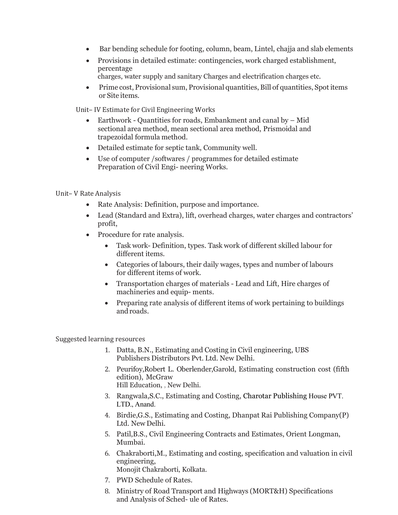- Bar bending schedule for footing, column, beam, Lintel, chajja and slab elements
- Provisions in detailed estimate: contingencies, work charged establishment, percentage
	- charges, water supply and sanitary Charges and electrification charges etc.
- Prime cost, Provisional sum, Provisional quantities, Bill of quantities, Spot items or Site items.

Unit– IV Estimate for Civil Engineering Works

- Earthwork Quantities for roads, Embankment and canal by Mid sectional area method, mean sectional area method, Prismoidal and trapezoidal formula method.
- Detailed estimate for septic tank, Community well.
- Use of computer /softwares / programmes for detailed estimate Preparation of Civil Engi- neering Works.

Unit– V Rate Analysis

- Rate Analysis: Definition, purpose and importance.
- Lead (Standard and Extra), lift, overhead charges, water charges and contractors' profit,
- Procedure for rate analysis.
	- Task work- Definition, types. Task work of different skilled labour for different items.
	- Categories of labours, their daily wages, types and number of labours for different items of work.
	- Transportation charges of materials Lead and Lift, Hire charges of machineries and equip- ments.
	- Preparing rate analysis of different items of work pertaining to buildings and roads.

Suggested learning resources

- 1. Datta, B.N., Estimating and Costing in Civil engineering, UBS Publishers Distributors Pvt. Ltd. New Delhi.
- 2. Peurifoy,Robert L. Oberlender,Garold, Estimating construction cost (fifth edition), McGraw Hill Education, , New Delhi.
- 3. Rangwala,S.C., Estimating and Costing, Charotar Publishing House PVT. LTD., Anand.
- 4. Birdie,G.S., Estimating and Costing, Dhanpat Rai Publishing Company(P) Ltd. New Delhi.
- 5. Patil,B.S., Civil Engineering Contracts and Estimates, Orient Longman, Mumbai.
- 6. Chakraborti,M., Estimating and costing, specification and valuation in civil engineering, Monojit Chakraborti, Kolkata.
- 7. PWD Schedule of Rates.
- 8. Ministry of Road Transport and Highways (MORT&H) Specifications and Analysis of Sched- ule of Rates.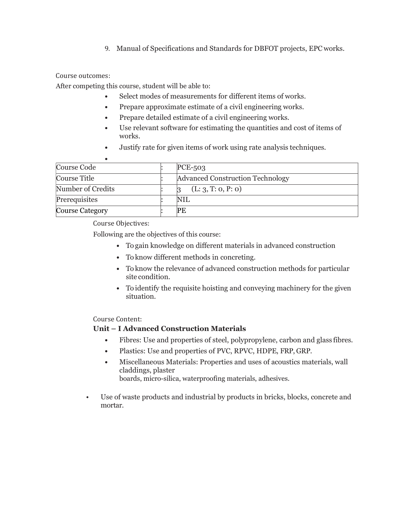9. Manual of Specifications and Standards for DBFOT projects, EPC works.

#### Course outcomes:

After competing this course, student will be able to:

- Select modes of measurements for different items of works.
- Prepare approximate estimate of a civil engineering works.
- Prepare detailed estimate of a civil engineering works.
- Use relevant software for estimating the quantities and cost of items of works.
- Justify rate for given items of work using rate analysis techniques.

| Course Code       | $PCE-503$                        |
|-------------------|----------------------------------|
| Course Title      | Advanced Construction Technology |
| Number of Credits | (L: 3, T: 0, P: 0)               |
| Prerequisites     | NIL                              |
| Course Category   | PE                               |

Course Objectives:

Following are the objectives of this course:

- To gain knowledge on different materials in advanced construction
- To know different methods in concreting.
- To know the relevance of advanced construction methods for particular site condition.
- To identify the requisite hoisting and conveying machinery for the given situation.

Course Content:

#### Unit – I Advanced Construction Materials

- Fibres: Use and properties of steel, polypropylene, carbon and glass fibres.
- Plastics: Use and properties of PVC, RPVC, HDPE, FRP, GRP.
- Miscellaneous Materials: Properties and uses of acoustics materials, wall claddings, plaster boards, micro-silica, waterproofing materials, adhesives.
- Use of waste products and industrial by products in bricks, blocks, concrete and mortar.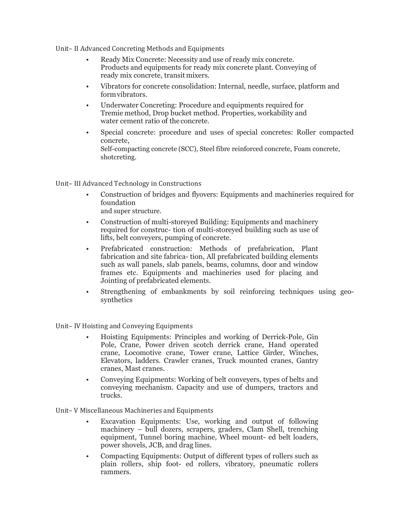Unit– II Advanced Concreting Methods and Equipments

- Ready Mix Concrete: Necessity and use of ready mix concrete. Products and equipments for ready mix concrete plant. Conveying of ready mix concrete, transit mixers.
- Vibrators for concrete consolidation: Internal, needle, surface, platform and form vibrators.
- Underwater Concreting: Procedure and equipments required for Tremie method, Drop bucket method. Properties, workability and water cement ratio of the concrete.
- Special concrete: procedure and uses of special concretes: Roller compacted concrete, Self-compacting concrete (SCC), Steel fibre reinforced concrete, Foam concrete, shotcreting.

Unit– III Advanced Technology in Constructions

- Construction of bridges and flyovers: Equipments and machineries required for foundation and super structure.
- Construction of multi-storeyed Building: Equipments and machinery required for construc- tion of multi-storeyed building such as use of lifts, belt conveyers, pumping of concrete.
- Prefabricated construction: Methods of prefabrication, Plant fabrication and site fabrica- tion, All prefabricated building elements such as wall panels, slab panels, beams, columns, door and window frames etc. Equipments and machineries used for placing and Jointing of prefabricated elements.
- Strengthening of embankments by soil reinforcing techniques using geosynthetics

Unit– IV Hoisting and Conveying Equipments

- Hoisting Equipments: Principles and working of Derrick-Pole, Gin Pole, Crane, Power driven scotch derrick crane, Hand operated crane, Locomotive crane, Tower crane, Lattice Girder, Winches, Elevators, ladders. Crawler cranes, Truck mounted cranes, Gantry cranes, Mast cranes.
- Conveying Equipments: Working of belt conveyers, types of belts and conveying mechanism. Capacity and use of dumpers, tractors and trucks.

Unit– V Miscellaneous Machineries and Equipments

- Excavation Equipments: Use, working and output of following machinery – bull dozers, scrapers, graders, Clam Shell, trenching equipment, Tunnel boring machine, Wheel mount- ed belt loaders, power shovels, JCB, and drag lines.
- Compacting Equipments: Output of different types of rollers such as plain rollers, ship foot- ed rollers, vibratory, pneumatic rollers rammers.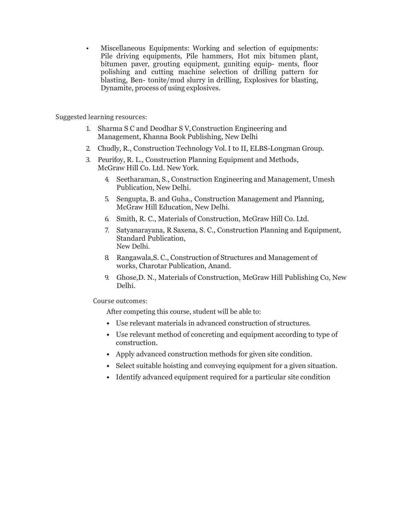• Miscellaneous Equipments: Working and selection of equipments: Pile driving equipments, Pile hammers, Hot mix bitumen plant, bitumen paver, grouting equipment, guniting equip- ments, floor polishing and cutting machine selection of drilling pattern for blasting, Ben- tonite/mud slurry in drilling, Explosives for blasting, Dynamite, process of using explosives.

Suggested learning resources:

- 1. Sharma S C and Deodhar S V, Construction Engineering and Management, Khanna Book Publishing, New Delhi
- 2. Chudly, R., Construction Technology Vol. I to II, ELBS-Longman Group.
- 3. Peurifoy, R. L., Construction Planning Equipment and Methods, McGraw Hill Co. Ltd. New York.
	- 4. Seetharaman, S., Construction Engineering and Management, Umesh Publication, New Delhi.
	- 5. Sengupta, B. and Guha., Construction Management and Planning, McGraw Hill Education, New Delhi.
	- 6. Smith, R. C., Materials of Construction, McGraw Hill Co. Ltd.
	- 7. Satyanarayana, R Saxena, S. C., Construction Planning and Equipment, Standard Publication, New Delhi.
	- 8. Rangawala,S. C., Construction of Structures and Management of works, Charotar Publication, Anand.
	- 9. Ghose,D. N., Materials of Construction, McGraw Hill Publishing Co, New Delhi.

Course outcomes:

After competing this course, student will be able to:

- Use relevant materials in advanced construction of structures.
- Use relevant method of concreting and equipment according to type of construction.
- Apply advanced construction methods for given site condition.
- Select suitable hoisting and conveying equipment for a given situation.
- Identify advanced equipment required for a particular site condition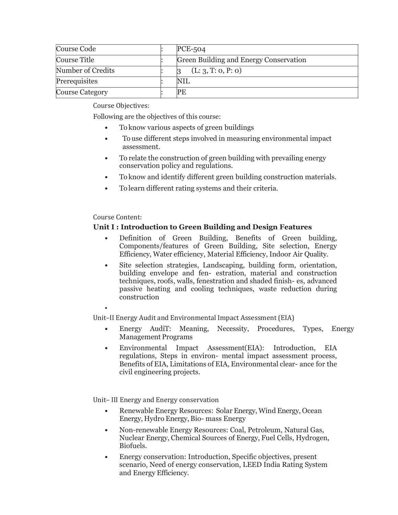| Course Code            |  | $PCE-504$                              |
|------------------------|--|----------------------------------------|
| Course Title           |  | Green Building and Energy Conservation |
| Number of Credits      |  | (L: 3, T: 0, P: 0)                     |
| Prerequisites          |  | NIL                                    |
| <b>Course Category</b> |  | PE                                     |

Following are the objectives of this course:

- To know various aspects of green buildings
- To use different steps involved in measuring environmental impact assessment.
- To relate the construction of green building with prevailing energy conservation policy and regulations.
- To know and identify different green building construction materials.
- To learn different rating systems and their criteria.

#### Course Content:

#### Unit I : Introduction to Green Building and Design Features

- Definition of Green Building, Benefits of Green building, Components/features of Green Building, Site selection, Energy Efficiency, Water efficiency, Material Efficiency, Indoor Air Quality.
- Site selection strategies, Landscaping, building form, orientation, building envelope and fen- estration, material and construction techniques, roofs, walls, fenestration and shaded finish- es, advanced passive heating and cooling techniques, waste reduction during construction

•

Unit–II Energy Audit and Environmental Impact Assessment (EIA)

- Energy AudiT: Meaning, Necessity, Procedures, Types, Energy Management Programs
- Environmental Impact Assessment(EIA): Introduction, EIA regulations, Steps in environ- mental impact assessment process, Benefits of EIA, Limitations of EIA, Environmental clear- ance for the civil engineering projects.

Unit– III Energy and Energy conservation

- Renewable Energy Resources: Solar Energy, Wind Energy, Ocean Energy, Hydro Energy, Bio- mass Energy
- Non-renewable Energy Resources: Coal, Petroleum, Natural Gas, Nuclear Energy, Chemical Sources of Energy, Fuel Cells, Hydrogen, Biofuels.
- Energy conservation: Introduction, Specific objectives, present scenario, Need of energy conservation, LEED India Rating System and Energy Efficiency.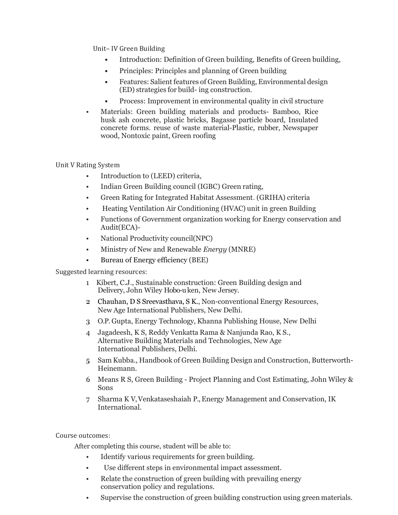Unit– IV Green Building

- Introduction: Definition of Green building, Benefits of Green building,
- Principles: Principles and planning of Green building
- Features: Salient features of Green Building, Environmental design (ED) strategies for build- ing construction.
- Process: Improvement in environmental quality in civil structure
- Materials: Green building materials and products- Bamboo, Rice husk ash concrete, plastic bricks, Bagasse particle board, Insulated concrete forms. reuse of waste material-Plastic, rubber, Newspaper wood, Nontoxic paint, Green roofing

Unit V Rating System

- Introduction to (LEED) criteria,
- Indian Green Building council (IGBC) Green rating,
- Green Rating for Integrated Habitat Assessment. (GRIHA) criteria
- Heating Ventilation Air Conditioning (HVAC) unit in green Building
- Functions of Government organization working for Energy conservation and Audit(ECA)-
- National Productivity council(NPC)
- Ministry of New and Renewable Energy (MNRE)
- Bureau of Energy efficiency (BEE)

Suggested learning resources:

- 1. Kibert, C.J., Sustainable construction: Green Building design and Delivery, John Wiley Hobo-u ken, New Jersey.
- 2. Chauhan, D S Sreevasthava, S K., Non-conventional Energy Resources, New Age International Publishers, New Delhi.
- 3. O.P. Gupta, Energy Technology, Khanna Publishing House, New Delhi
- 4. Jagadeesh, K S, Reddy Venkatta Rama & Nanjunda Rao, K S., Alternative Building Materials and Technologies, New Age International Publishers, Delhi.
- 5. Sam Kubba., Handbook of Green Building Design and Construction, Butterworth-Heinemann.
- 6. Means R S, Green Building Project Planning and Cost Estimating, John Wiley & Sons
- 7. Sharma K V, Venkataseshaiah P., Energy Management and Conservation, IK International.

Course outcomes:

After completing this course, student will be able to:

- Identify various requirements for green building.
- Use different steps in environmental impact assessment.
- Relate the construction of green building with prevailing energy conservation policy and regulations.
- Supervise the construction of green building construction using green materials.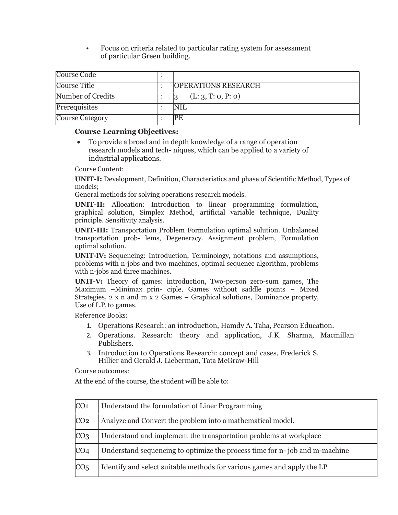• Focus on criteria related to particular rating system for assessment of particular Green building.

| Course Code       |                            |
|-------------------|----------------------------|
| Course Title      | <b>OPERATIONS RESEARCH</b> |
| Number of Credits | (L: 3, T: 0, P: 0)         |
| Prerequisites     | <b>NIL</b>                 |
| Course Category   | PF                         |

#### Course Learning Objectives:

 To provide a broad and in depth knowledge of a range of operation research models and tech- niques, which can be applied to a variety of industrial applications.

Course Content:

UNIT-I: Development, Definition, Characteristics and phase of Scientific Method, Types of models;

General methods for solving operations research models.

UNIT-II: Allocation: Introduction to linear programming formulation, graphical solution, Simplex Method, artificial variable technique, Duality principle. Sensitivity analysis.

UNIT-III: Transportation Problem Formulation optimal solution. Unbalanced transportation prob- lems, Degeneracy. Assignment problem, Formulation optimal solution.

UNIT-IV: Sequencing: Introduction, Terminology, notations and assumptions, problems with n-jobs and two machines, optimal sequence algorithm, problems with n-jobs and three machines.

UNIT-V: Theory of games: introduction, Two-person zero-sum games, The Maximum –Minimax prin- ciple, Games without saddle points – Mixed Strategies, 2 x n and m x 2 Games – Graphical solutions, Dominance property, Use of L.P. to games.

Reference Books:

- 1. Operations Research: an introduction, Hamdy A. Taha, Pearson Education.
- 2. Operations. Research: theory and application, J.K. Sharma, Macmillan Publishers.
- 3. Introduction to Operations Research: concept and cases, Frederick S. Hillier and Gerald J. Lieberman, Tata McGraw-Hill

Course outcomes:

At the end of the course, the student will be able to:

| CO <sub>1</sub> | Understand the formulation of Liner Programming                            |
|-----------------|----------------------------------------------------------------------------|
| CO <sub>2</sub> | Analyze and Convert the problem into a mathematical model.                 |
| CO <sub>3</sub> | Understand and implement the transportation problems at workplace          |
| CO <sub>4</sub> | Understand sequencing to optimize the process time for n-job and m-machine |
| CO <sub>5</sub> | Identify and select suitable methods for various games and apply the LP    |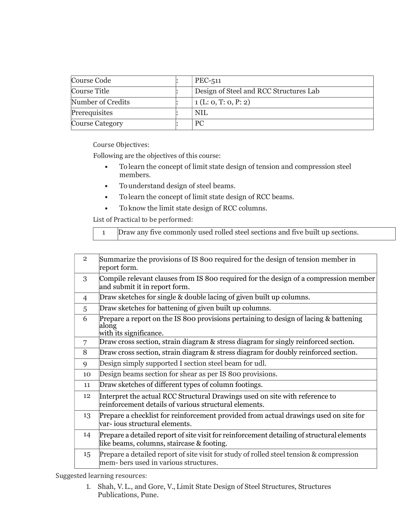| Course Code            |  | PEC-511                                |
|------------------------|--|----------------------------------------|
| Course Title           |  | Design of Steel and RCC Structures Lab |
| Number of Credits      |  | 1(L: 0, T: 0, P: 2)                    |
| Prerequisites          |  | <b>NIL</b>                             |
| <b>Course Category</b> |  | <b>PC</b>                              |

Following are the objectives of this course:

- To learn the concept of limit state design of tension and compression steel members.
- To understand design of steel beams.
- To learn the concept of limit state design of RCC beams.
- To know the limit state design of RCC columns.

List of Practical to be performed:

|  | Draw any five commonly used rolled steel sections and five built up sections. |
|--|-------------------------------------------------------------------------------|
|--|-------------------------------------------------------------------------------|

| $\overline{2}$ | Summarize the provisions of IS 800 required for the design of tension member in<br>report form.                                         |
|----------------|-----------------------------------------------------------------------------------------------------------------------------------------|
| 3              | Compile relevant clauses from IS 800 required for the design of a compression member<br>and submit it in report form.                   |
| 4              | Draw sketches for single & double lacing of given built up columns.                                                                     |
| 5              | Draw sketches for battening of given built up columns.                                                                                  |
| 6              | Prepare a report on the IS 800 provisions pertaining to design of lacing & battening<br>along<br>with its significance.                 |
| 7              | Draw cross section, strain diagram & stress diagram for singly reinforced section.                                                      |
| 8              | Draw cross section, strain diagram & stress diagram for doubly reinforced section.                                                      |
| 9              | Design simply supported I section steel beam for udl.                                                                                   |
| 10             | Design beams section for shear as per IS 800 provisions.                                                                                |
| 11             | Draw sketches of different types of column footings.                                                                                    |
| 12             | Interpret the actual RCC Structural Drawings used on site with reference to<br>reinforcement details of various structural elements.    |
| 13             | Prepare a checklist for reinforcement provided from actual drawings used on site for<br>var- ious structural elements.                  |
| 14             | Prepare a detailed report of site visit for reinforcement detailing of structural elements<br>like beams, columns, staircase & footing. |
| 15             | Prepare a detailed report of site visit for study of rolled steel tension & compression<br>mem-bers used in various structures.         |

Suggested learning resources:

1. Shah, V. L., and Gore, V., Limit State Design of Steel Structures, Structures Publications, Pune.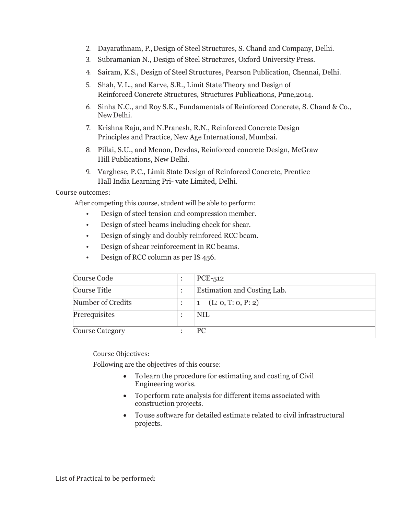- 2. Dayarathnam, P., Design of Steel Structures, S. Chand and Company, Delhi.
- 3. Subramanian N., Design of Steel Structures, Oxford University Press.
- 4. Sairam, K.S., Design of Steel Structures, Pearson Publication, Chennai, Delhi.
- 5. Shah, V. L., and Karve, S.R., Limit State Theory and Design of Reinforced Concrete Structures, Structures Publications, Pune,2014.
- 6. Sinha N.C., and Roy S.K., Fundamentals of Reinforced Concrete, S. Chand & Co., New Delhi.
- 7. Krishna Raju, and N.Pranesh, R.N., Reinforced Concrete Design Principles and Practice, New Age International, Mumbai.
- 8. Pillai, S.U., and Menon, Devdas, Reinforced concrete Design, McGraw Hill Publications, New Delhi.
- 9. Varghese, P.C., Limit State Design of Reinforced Concrete, Prentice Hall India Learning Pri- vate Limited, Delhi.

#### Course outcomes:

After competing this course, student will be able to perform:

- Design of steel tension and compression member.
- Design of steel beams including check for shear.
- Design of singly and doubly reinforced RCC beam.
- Design of shear reinforcement in RC beams.
- Design of RCC column as per IS 456.

| Course Code            |  | PCE-512                     |
|------------------------|--|-----------------------------|
| Course Title           |  | Estimation and Costing Lab. |
| Number of Credits      |  | (L: 0, T: 0, P: 2)          |
| Prerequisites          |  | <b>NIL</b>                  |
| <b>Course Category</b> |  | <b>PC</b>                   |

Course Objectives:

Following are the objectives of this course:

- To learn the procedure for estimating and costing of Civil Engineering works.
- To perform rate analysis for different items associated with construction projects.
- To use software for detailed estimate related to civil infrastructural projects.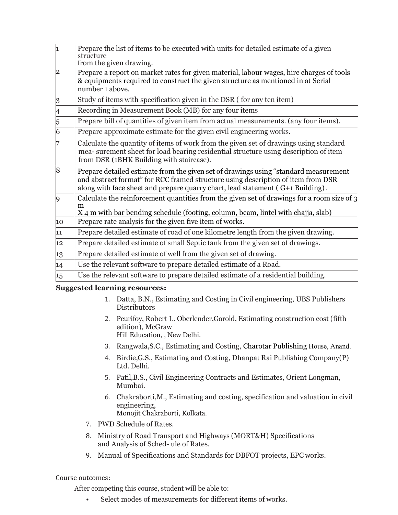| 1              | Prepare the list of items to be executed with units for detailed estimate of a given<br>structure<br>from the given drawing.                                                                                                                                |
|----------------|-------------------------------------------------------------------------------------------------------------------------------------------------------------------------------------------------------------------------------------------------------------|
| 2              | Prepare a report on market rates for given material, labour wages, hire charges of tools<br>& equipments required to construct the given structure as mentioned in at Serial<br>number 1 above.                                                             |
| 3              | Study of items with specification given in the DSR (for any ten item)                                                                                                                                                                                       |
| 4              | Recording in Measurement Book (MB) for any four items                                                                                                                                                                                                       |
| 5              | Prepare bill of quantities of given item from actual measurements. (any four items).                                                                                                                                                                        |
| $\overline{6}$ | Prepare approximate estimate for the given civil engineering works.                                                                                                                                                                                         |
| 7              | Calculate the quantity of items of work from the given set of drawings using standard<br>mea- surement sheet for load bearing residential structure using description of item<br>from DSR (1BHK Building with staircase).                                   |
| $\overline{8}$ | Prepare detailed estimate from the given set of drawings using "standard measurement"<br>and abstract format" for RCC framed structure using description of item from DSR<br>along with face sheet and prepare quarry chart, lead statement (G+1 Building). |
| 9              | Calculate the reinforcement quantities from the given set of drawings for a room size of 3<br>m<br>X 4 m with bar bending schedule (footing, column, beam, lintel with chajja, slab)                                                                        |
| 10             | Prepare rate analysis for the given five item of works.                                                                                                                                                                                                     |
| $ 11\rangle$   | Prepare detailed estimate of road of one kilometre length from the given drawing.                                                                                                                                                                           |
| 12             | Prepare detailed estimate of small Septic tank from the given set of drawings.                                                                                                                                                                              |
| 13             | Prepare detailed estimate of well from the given set of drawing.                                                                                                                                                                                            |
| 14             | Use the relevant software to prepare detailed estimate of a Road.                                                                                                                                                                                           |
| 15             | Use the relevant software to prepare detailed estimate of a residential building.                                                                                                                                                                           |

#### Suggested learning resources:

- 1. Datta, B.N., Estimating and Costing in Civil engineering, UBS Publishers **Distributors**
- 2. Peurifoy, Robert L. Oberlender,Garold, Estimating construction cost (fifth edition), McGraw Hill Education, , New Delhi.
- 3. Rangwala,S.C., Estimating and Costing, Charotar Publishing House, Anand.
- 4. Birdie,G.S., Estimating and Costing, Dhanpat Rai Publishing Company(P) Ltd. Delhi.
- 5. Patil,B.S., Civil Engineering Contracts and Estimates, Orient Longman, Mumbai.
- 6. Chakraborti,M., Estimating and costing, specification and valuation in civil engineering, Monojit Chakraborti, Kolkata.
- 7. PWD Schedule of Rates.
- 8. Ministry of Road Transport and Highways (MORT&H) Specifications and Analysis of Sched- ule of Rates.
- 9. Manual of Specifications and Standards for DBFOT projects, EPC works.

#### Course outcomes:

After competing this course, student will be able to:

• Select modes of measurements for different items of works.